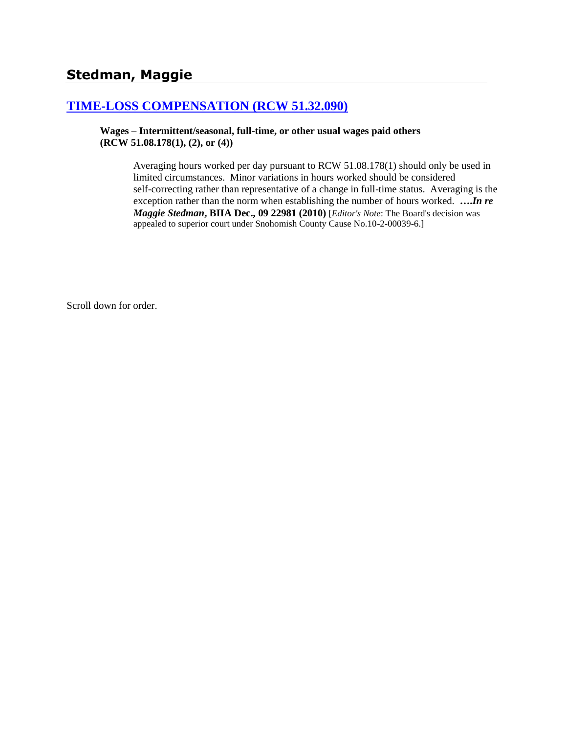# **[TIME-LOSS COMPENSATION \(RCW 51.32.090\)](http://www.biia.wa.gov/SDSubjectIndex.html#TIME_LOSS_COMPENSATION)**

**Wages – Intermittent/seasonal, full-time, or other usual wages paid others (RCW 51.08.178(1), (2), or (4))**

> Averaging hours worked per day pursuant to RCW 51.08.178(1) should only be used in limited circumstances. Minor variations in hours worked should be considered self-correcting rather than representative of a change in full-time status. Averaging is the exception rather than the norm when establishing the number of hours worked. **….***In re Maggie Stedman***, BIIA Dec., 09 22981 (2010)** [*Editor's Note*: The Board's decision was appealed to superior court under Snohomish County Cause No.10-2-00039-6.]

Scroll down for order.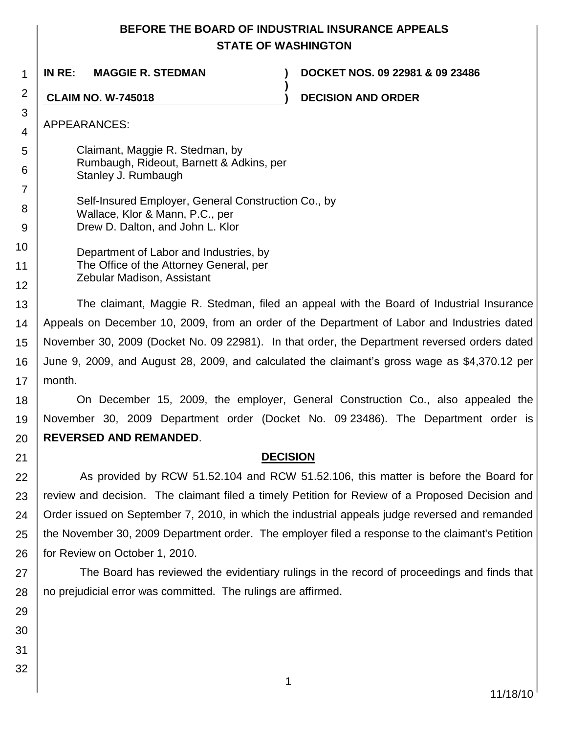# **BEFORE THE BOARD OF INDUSTRIAL INSURANCE APPEALS STATE OF WASHINGTON**

**)**

1

**IN RE: MAGGIE R. STEDMAN ) DOCKET NOS. 09 22981 & 09 23486**

**CLAIM NO. W-745018 ) DECISION AND ORDER**

APPEARANCES:

2

3 4

5 6 Claimant, Maggie R. Stedman, by Rumbaugh, Rideout, Barnett & Adkins, per Stanley J. Rumbaugh

7 8 9 Self-Insured Employer, General Construction Co., by Wallace, Klor & Mann, P.C., per Drew D. Dalton, and John L. Klor

10 11 12 Department of Labor and Industries, by The Office of the Attorney General, per Zebular Madison, Assistant

13 14 15 16 17 The claimant, Maggie R. Stedman, filed an appeal with the Board of Industrial Insurance Appeals on December 10, 2009, from an order of the Department of Labor and Industries dated November 30, 2009 (Docket No. 09 22981). In that order, the Department reversed orders dated June 9, 2009, and August 28, 2009, and calculated the claimant's gross wage as \$4,370.12 per month.

18 19 20 On December 15, 2009, the employer, General Construction Co., also appealed the November 30, 2009 Department order (Docket No. 09 23486). The Department order is **REVERSED AND REMANDED**.

# **DECISION**

22 23 24 25 26 As provided by RCW 51.52.104 and RCW 51.52.106, this matter is before the Board for review and decision. The claimant filed a timely Petition for Review of a Proposed Decision and Order issued on September 7, 2010, in which the industrial appeals judge reversed and remanded the November 30, 2009 Department order. The employer filed a response to the claimant's Petition for Review on October 1, 2010.

27 28 The Board has reviewed the evidentiary rulings in the record of proceedings and finds that no prejudicial error was committed. The rulings are affirmed.

29 30

21

31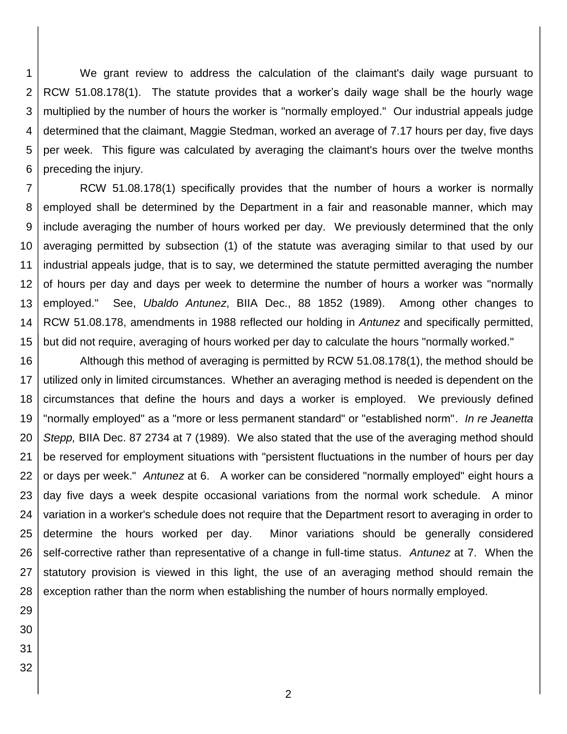1 2 3 4 5 6 We grant review to address the calculation of the claimant's daily wage pursuant to RCW 51.08.178(1). The statute provides that a worker's daily wage shall be the hourly wage multiplied by the number of hours the worker is "normally employed." Our industrial appeals judge determined that the claimant, Maggie Stedman, worked an average of 7.17 hours per day, five days per week. This figure was calculated by averaging the claimant's hours over the twelve months preceding the injury.

7 8 9 10 11 12 13 14 15 RCW 51.08.178(1) specifically provides that the number of hours a worker is normally employed shall be determined by the Department in a fair and reasonable manner, which may include averaging the number of hours worked per day. We previously determined that the only averaging permitted by subsection (1) of the statute was averaging similar to that used by our industrial appeals judge, that is to say, we determined the statute permitted averaging the number of hours per day and days per week to determine the number of hours a worker was "normally employed." See, *Ubaldo Antunez*, BIIA Dec., 88 1852 (1989). Among other changes to RCW 51.08.178, amendments in 1988 reflected our holding in *Antunez* and specifically permitted, but did not require, averaging of hours worked per day to calculate the hours "normally worked."

16 17 18 19 20 21 22 23 24 25 26 27 28 Although this method of averaging is permitted by RCW 51.08.178(1), the method should be utilized only in limited circumstances. Whether an averaging method is needed is dependent on the circumstances that define the hours and days a worker is employed. We previously defined "normally employed" as a "more or less permanent standard" or "established norm". *In re Jeanetta Stepp,* BIIA Dec. 87 2734 at 7 (1989). We also stated that the use of the averaging method should be reserved for employment situations with "persistent fluctuations in the number of hours per day or days per week." *Antunez* at 6. A worker can be considered "normally employed" eight hours a day five days a week despite occasional variations from the normal work schedule. A minor variation in a worker's schedule does not require that the Department resort to averaging in order to determine the hours worked per day. Minor variations should be generally considered self-corrective rather than representative of a change in full-time status. *Antunez* at 7. When the statutory provision is viewed in this light, the use of an averaging method should remain the exception rather than the norm when establishing the number of hours normally employed.

- 29
- 30 31
- 32

2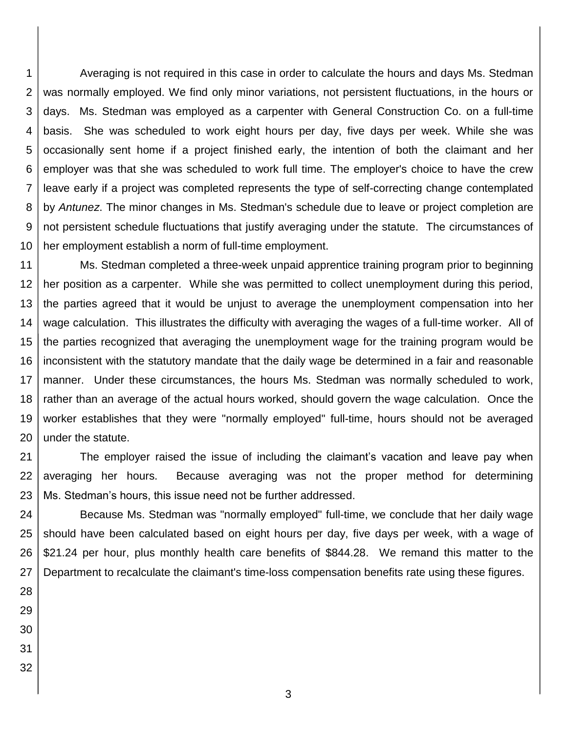1 2 3 4 5 6 7 8 9 10 Averaging is not required in this case in order to calculate the hours and days Ms. Stedman was normally employed. We find only minor variations, not persistent fluctuations, in the hours or days. Ms. Stedman was employed as a carpenter with General Construction Co. on a full-time basis. She was scheduled to work eight hours per day, five days per week. While she was occasionally sent home if a project finished early, the intention of both the claimant and her employer was that she was scheduled to work full time. The employer's choice to have the crew leave early if a project was completed represents the type of self-correcting change contemplated by *Antunez*. The minor changes in Ms. Stedman's schedule due to leave or project completion are not persistent schedule fluctuations that justify averaging under the statute. The circumstances of her employment establish a norm of full-time employment.

11 12 13 14 15 16 17 18 19 20 Ms. Stedman completed a three-week unpaid apprentice training program prior to beginning her position as a carpenter. While she was permitted to collect unemployment during this period, the parties agreed that it would be unjust to average the unemployment compensation into her wage calculation. This illustrates the difficulty with averaging the wages of a full-time worker. All of the parties recognized that averaging the unemployment wage for the training program would be inconsistent with the statutory mandate that the daily wage be determined in a fair and reasonable manner. Under these circumstances, the hours Ms. Stedman was normally scheduled to work, rather than an average of the actual hours worked, should govern the wage calculation. Once the worker establishes that they were "normally employed" full-time, hours should not be averaged under the statute.

21 22 23 The employer raised the issue of including the claimant's vacation and leave pay when averaging her hours. Because averaging was not the proper method for determining Ms. Stedman's hours, this issue need not be further addressed.

24 25 26 27 Because Ms. Stedman was "normally employed" full-time, we conclude that her daily wage should have been calculated based on eight hours per day, five days per week, with a wage of \$21.24 per hour, plus monthly health care benefits of \$844.28. We remand this matter to the Department to recalculate the claimant's time-loss compensation benefits rate using these figures.

- 28 29 30
- 31
- 32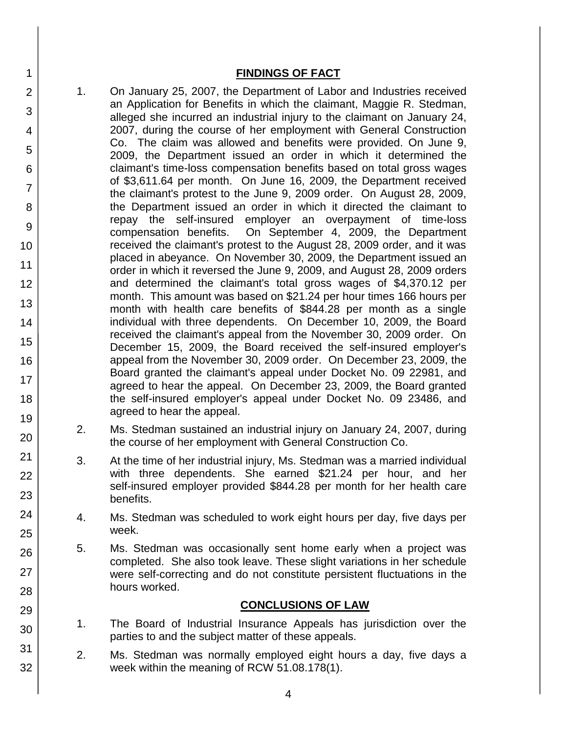#### **FINDINGS OF FACT**

- 1. On January 25, 2007, the Department of Labor and Industries received an Application for Benefits in which the claimant, Maggie R. Stedman, alleged she incurred an industrial injury to the claimant on January 24, 2007, during the course of her employment with General Construction Co. The claim was allowed and benefits were provided. On June 9, 2009, the Department issued an order in which it determined the claimant's time-loss compensation benefits based on total gross wages of \$3,611.64 per month. On June 16, 2009, the Department received the claimant's protest to the June 9, 2009 order. On August 28, 2009, the Department issued an order in which it directed the claimant to repay the self-insured employer an overpayment of time-loss compensation benefits. On September 4, 2009, the Department received the claimant's protest to the August 28, 2009 order, and it was placed in abeyance. On November 30, 2009, the Department issued an order in which it reversed the June 9, 2009, and August 28, 2009 orders and determined the claimant's total gross wages of \$4,370.12 per month. This amount was based on \$21.24 per hour times 166 hours per month with health care benefits of \$844.28 per month as a single individual with three dependents. On December 10, 2009, the Board received the claimant's appeal from the November 30, 2009 order. On December 15, 2009, the Board received the self-insured employer's appeal from the November 30, 2009 order. On December 23, 2009, the Board granted the claimant's appeal under Docket No. 09 22981, and agreed to hear the appeal. On December 23, 2009, the Board granted the self-insured employer's appeal under Docket No. 09 23486, and agreed to hear the appeal.
	- 2. Ms. Stedman sustained an industrial injury on January 24, 2007, during the course of her employment with General Construction Co.
	- 3. At the time of her industrial injury, Ms. Stedman was a married individual with three dependents. She earned \$21.24 per hour, and her self-insured employer provided \$844.28 per month for her health care benefits.
	- 4. Ms. Stedman was scheduled to work eight hours per day, five days per week.
	- 5. Ms. Stedman was occasionally sent home early when a project was completed. She also took leave. These slight variations in her schedule were self-correcting and do not constitute persistent fluctuations in the hours worked.

#### **CONCLUSIONS OF LAW**

- 1. The Board of Industrial Insurance Appeals has jurisdiction over the parties to and the subject matter of these appeals.
- 2. Ms. Stedman was normally employed eight hours a day, five days a week within the meaning of RCW 51.08.178(1).
- 4 5 6 7 8 9 10 11 12 13 14 15 16 17 18 19 20 21 22 23 24 25 26 27 28 29 30 31 32

1

2

3